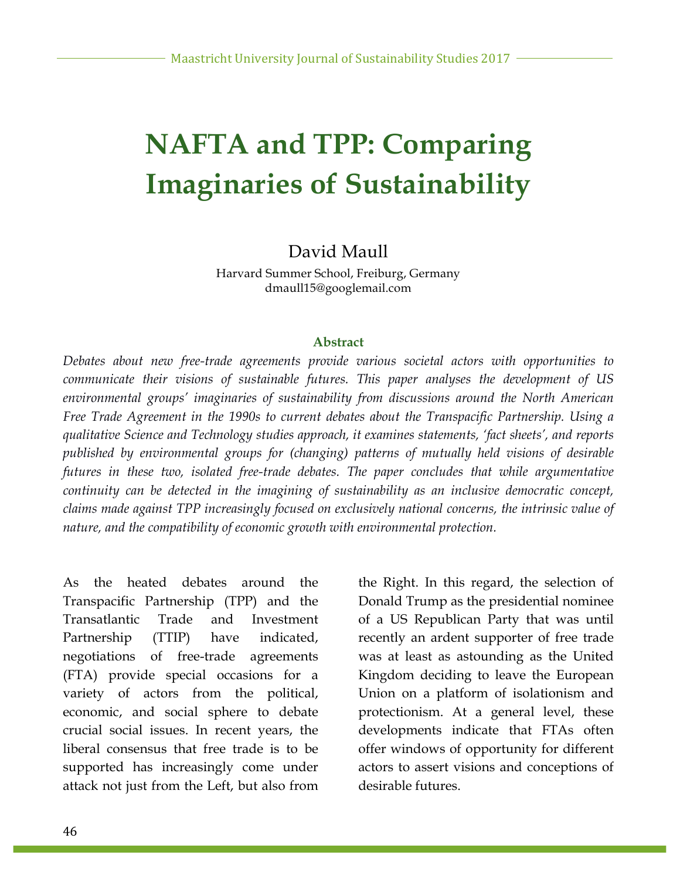# **NAFTA and TPP: Comparing Imaginaries of Sustainability**

#### David Maull

Harvard Summer School, Freiburg, Germany dmaull15@googlemail.com

#### **Abstract**

*Debates about new free-trade agreements provide various societal actors with opportunities to communicate their visions of sustainable futures. This paper analyses the development of US environmental groups' imaginaries of sustainability from discussions around the North American Free Trade Agreement in the 1990s to current debates about the Transpacific Partnership. Using a qualitative Science and Technology studies approach, it examines statements, 'fact sheets', and reports published by environmental groups for (changing) patterns of mutually held visions of desirable futures in these two, isolated free-trade debates. The paper concludes that while argumentative continuity can be detected in the imagining of sustainability as an inclusive democratic concept, claims made against TPP increasingly focused on exclusively national concerns, the intrinsic value of nature, and the compatibility of economic growth with environmental protection.*

As the heated debates around the Transpacific Partnership (TPP) and the Transatlantic Trade and Investment Partnership (TTIP) have indicated, negotiations of free-trade agreements (FTA) provide special occasions for a variety of actors from the political, economic, and social sphere to debate crucial social issues. In recent years, the liberal consensus that free trade is to be supported has increasingly come under attack not just from the Left, but also from the Right. In this regard, the selection of Donald Trump as the presidential nominee of a US Republican Party that was until recently an ardent supporter of free trade was at least as astounding as the United Kingdom deciding to leave the European Union on a platform of isolationism and protectionism. At a general level, these developments indicate that FTAs often offer windows of opportunity for different actors to assert visions and conceptions of desirable futures.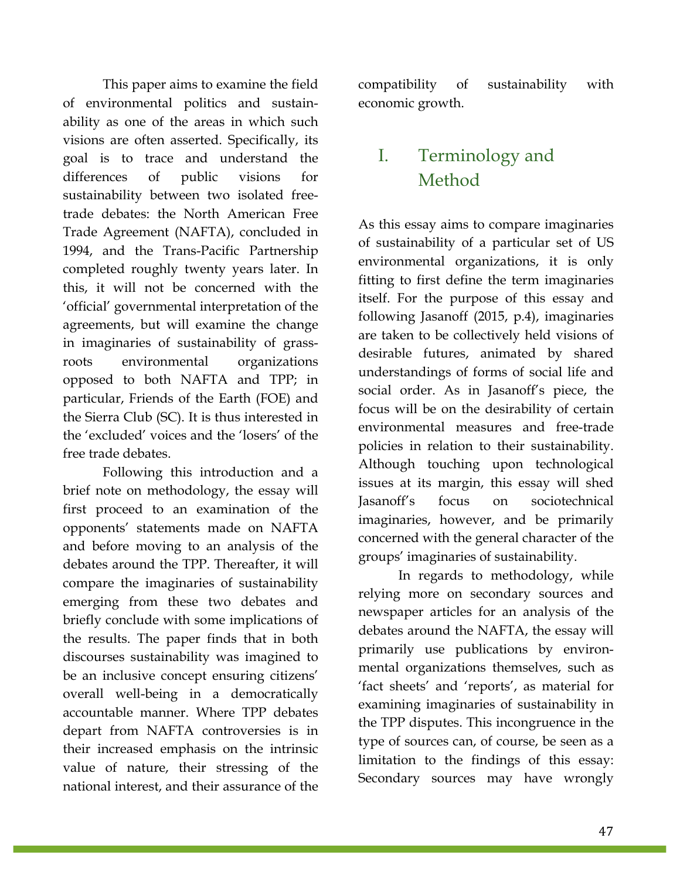This paper aims to examine the field of environmental politics and sustainability as one of the areas in which such visions are often asserted. Specifically, its goal is to trace and understand the differences of public visions for sustainability between two isolated freetrade debates: the North American Free Trade Agreement (NAFTA), concluded in 1994, and the Trans-Pacific Partnership completed roughly twenty years later. In this, it will not be concerned with the 'official' governmental interpretation of the agreements, but will examine the change in imaginaries of sustainability of grassroots environmental organizations opposed to both NAFTA and TPP; in particular, Friends of the Earth (FOE) and the Sierra Club (SC). It is thus interested in the 'excluded' voices and the 'losers' of the free trade debates.

Following this introduction and a brief note on methodology, the essay will first proceed to an examination of the opponents' statements made on NAFTA and before moving to an analysis of the debates around the TPP. Thereafter, it will compare the imaginaries of sustainability emerging from these two debates and briefly conclude with some implications of the results. The paper finds that in both discourses sustainability was imagined to be an inclusive concept ensuring citizens' overall well-being in a democratically accountable manner. Where TPP debates depart from NAFTA controversies is in their increased emphasis on the intrinsic value of nature, their stressing of the national interest, and their assurance of the compatibility of sustainability with economic growth.

#### I. Terminology and Method

As this essay aims to compare imaginaries of sustainability of a particular set of US environmental organizations, it is only fitting to first define the term imaginaries itself. For the purpose of this essay and following Jasanoff (2015, p.4), imaginaries are taken to be collectively held visions of desirable futures, animated by shared understandings of forms of social life and social order. As in Jasanoff's piece, the focus will be on the desirability of certain environmental measures and free-trade policies in relation to their sustainability. Although touching upon technological issues at its margin, this essay will shed Jasanoff's focus on sociotechnical imaginaries, however, and be primarily concerned with the general character of the groups' imaginaries of sustainability.

In regards to methodology, while relying more on secondary sources and newspaper articles for an analysis of the debates around the NAFTA, the essay will primarily use publications by environmental organizations themselves, such as 'fact sheets' and 'reports', as material for examining imaginaries of sustainability in the TPP disputes. This incongruence in the type of sources can, of course, be seen as a limitation to the findings of this essay: Secondary sources may have wrongly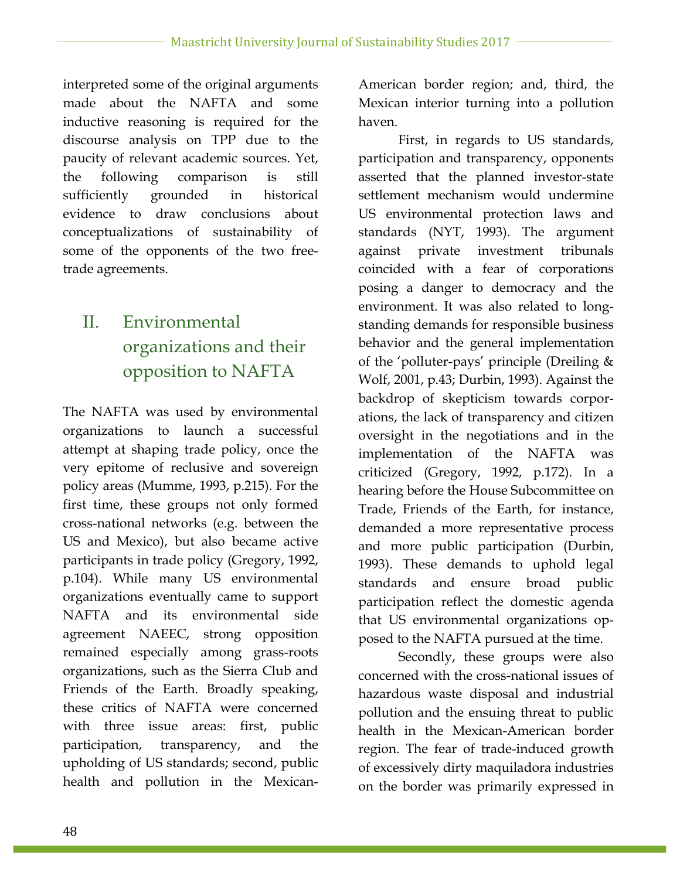interpreted some of the original arguments made about the NAFTA and some inductive reasoning is required for the discourse analysis on TPP due to the paucity of relevant academic sources. Yet, the following comparison is still sufficiently grounded in historical evidence to draw conclusions about conceptualizations of sustainability of some of the opponents of the two freetrade agreements.

# II. Environmental organizations and their opposition to NAFTA

The NAFTA was used by environmental organizations to launch a successful attempt at shaping trade policy, once the very epitome of reclusive and sovereign policy areas (Mumme, 1993, p.215). For the first time, these groups not only formed cross-national networks (e.g. between the US and Mexico), but also became active participants in trade policy (Gregory, 1992, p.104). While many US environmental organizations eventually came to support NAFTA and its environmental side agreement NAEEC, strong opposition remained especially among grass-roots organizations, such as the Sierra Club and Friends of the Earth. Broadly speaking, these critics of NAFTA were concerned with three issue areas: first, public participation, transparency, and the upholding of US standards; second, public health and pollution in the MexicanAmerican border region; and, third, the Mexican interior turning into a pollution haven.

First, in regards to US standards, participation and transparency, opponents asserted that the planned investor-state settlement mechanism would undermine US environmental protection laws and standards (NYT, 1993). The argument against private investment tribunals coincided with a fear of corporations posing a danger to democracy and the environment. It was also related to longstanding demands for responsible business behavior and the general implementation of the 'polluter-pays' principle (Dreiling & Wolf, 2001, p.43; Durbin, 1993). Against the backdrop of skepticism towards corporations, the lack of transparency and citizen oversight in the negotiations and in the implementation of the NAFTA was criticized (Gregory, 1992, p.172). In a hearing before the House Subcommittee on Trade, Friends of the Earth, for instance, demanded a more representative process and more public participation (Durbin, 1993). These demands to uphold legal standards and ensure broad public participation reflect the domestic agenda that US environmental organizations opposed to the NAFTA pursued at the time.

Secondly, these groups were also concerned with the cross-national issues of hazardous waste disposal and industrial pollution and the ensuing threat to public health in the Mexican-American border region. The fear of trade-induced growth of excessively dirty maquiladora industries on the border was primarily expressed in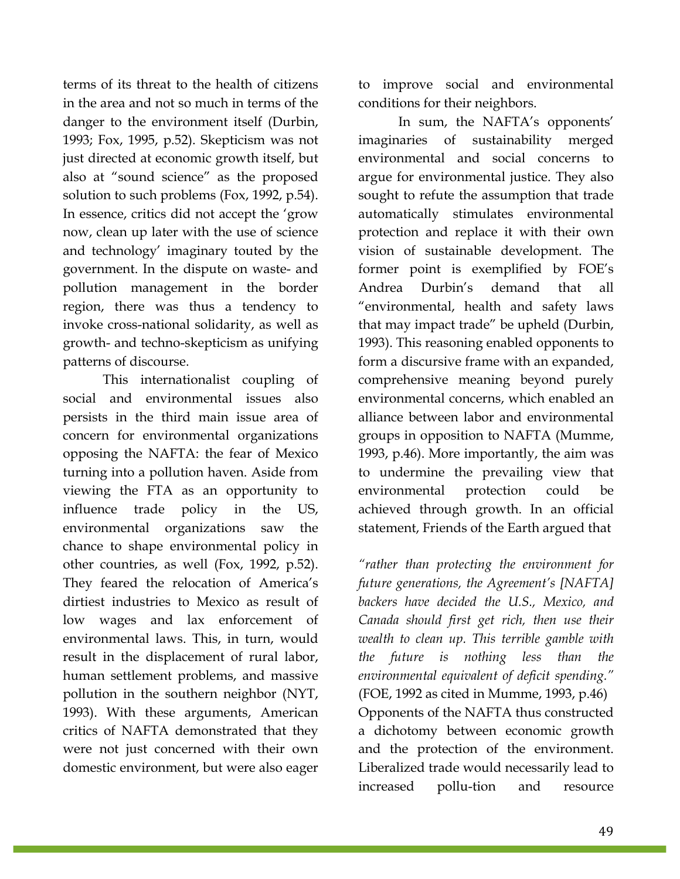terms of its threat to the health of citizens in the area and not so much in terms of the danger to the environment itself (Durbin, 1993; Fox, 1995, p.52). Skepticism was not just directed at economic growth itself, but also at "sound science" as the proposed solution to such problems (Fox, 1992, p.54). In essence, critics did not accept the 'grow now, clean up later with the use of science and technology' imaginary touted by the government. In the dispute on waste- and pollution management in the border region, there was thus a tendency to invoke cross-national solidarity, as well as growth- and techno-skepticism as unifying patterns of discourse.

This internationalist coupling of social and environmental issues also persists in the third main issue area of concern for environmental organizations opposing the NAFTA: the fear of Mexico turning into a pollution haven. Aside from viewing the FTA as an opportunity to influence trade policy in the US, environmental organizations saw the chance to shape environmental policy in other countries, as well (Fox, 1992, p.52). They feared the relocation of America's dirtiest industries to Mexico as result of low wages and lax enforcement of environmental laws. This, in turn, would result in the displacement of rural labor, human settlement problems, and massive pollution in the southern neighbor (NYT, 1993). With these arguments, American critics of NAFTA demonstrated that they were not just concerned with their own domestic environment, but were also eager

to improve social and environmental conditions for their neighbors.

In sum, the NAFTA's opponents' imaginaries of sustainability merged environmental and social concerns to argue for environmental justice. They also sought to refute the assumption that trade automatically stimulates environmental protection and replace it with their own vision of sustainable development. The former point is exemplified by FOE's Andrea Durbin's demand that all "environmental, health and safety laws that may impact trade" be upheld (Durbin, 1993). This reasoning enabled opponents to form a discursive frame with an expanded, comprehensive meaning beyond purely environmental concerns, which enabled an alliance between labor and environmental groups in opposition to NAFTA (Mumme, 1993, p.46). More importantly, the aim was to undermine the prevailing view that environmental protection could be achieved through growth. In an official statement, Friends of the Earth argued that

*"rather than protecting the environment for future generations, the Agreement's [NAFTA] backers have decided the U.S., Mexico, and Canada should first get rich, then use their wealth to clean up. This terrible gamble with the future is nothing less than the environmental equivalent of deficit spending."* (FOE, 1992 as cited in Mumme, 1993, p.46) Opponents of the NAFTA thus constructed a dichotomy between economic growth and the protection of the environment. Liberalized trade would necessarily lead to increased pollu-tion and resource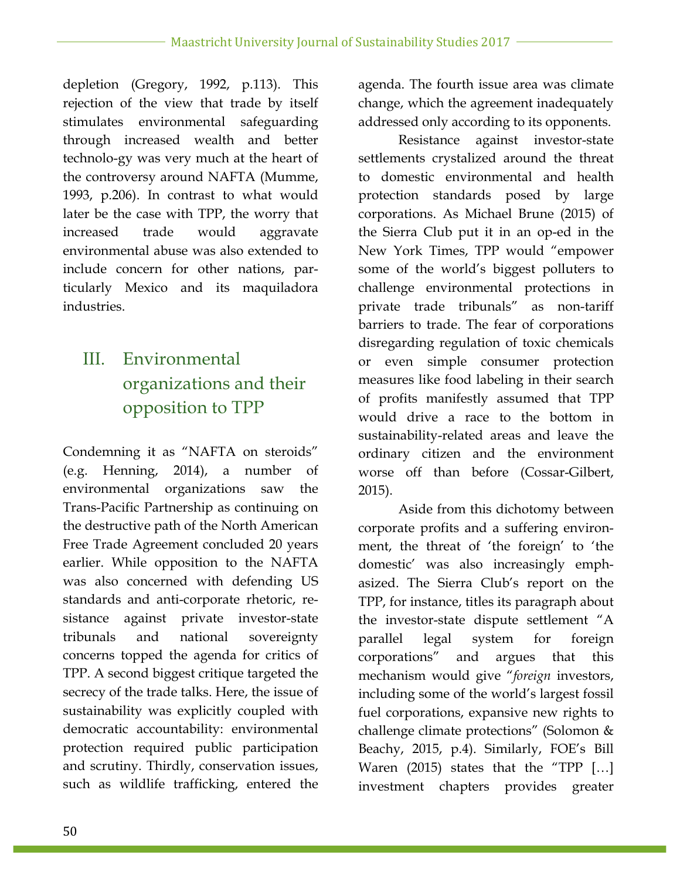depletion (Gregory, 1992, p.113). This rejection of the view that trade by itself stimulates environmental safeguarding through increased wealth and better technolo-gy was very much at the heart of the controversy around NAFTA (Mumme, 1993, p.206). In contrast to what would later be the case with TPP, the worry that increased trade would aggravate environmental abuse was also extended to include concern for other nations, particularly Mexico and its maquiladora industries.

# III. Environmental organizations and their opposition to TPP

Condemning it as "NAFTA on steroids" (e.g. Henning, 2014), a number of environmental organizations saw the Trans-Pacific Partnership as continuing on the destructive path of the North American Free Trade Agreement concluded 20 years earlier. While opposition to the NAFTA was also concerned with defending US standards and anti-corporate rhetoric, resistance against private investor-state tribunals and national sovereignty concerns topped the agenda for critics of TPP. A second biggest critique targeted the secrecy of the trade talks. Here, the issue of sustainability was explicitly coupled with democratic accountability: environmental protection required public participation and scrutiny. Thirdly, conservation issues, such as wildlife trafficking, entered the

agenda. The fourth issue area was climate change, which the agreement inadequately addressed only according to its opponents.

Resistance against investor-state settlements crystalized around the threat to domestic environmental and health protection standards posed by large corporations. As Michael Brune (2015) of the Sierra Club put it in an op-ed in the New York Times, TPP would "empower some of the world's biggest polluters to challenge environmental protections in private trade tribunals" as non-tariff barriers to trade. The fear of corporations disregarding regulation of toxic chemicals or even simple consumer protection measures like food labeling in their search of profits manifestly assumed that TPP would drive a race to the bottom in sustainability-related areas and leave the ordinary citizen and the environment worse off than before (Cossar-Gilbert, 2015).

Aside from this dichotomy between corporate profits and a suffering environment, the threat of 'the foreign' to 'the domestic' was also increasingly emphasized. The Sierra Club's report on the TPP, for instance, titles its paragraph about the investor-state dispute settlement "A parallel legal system for foreign corporations" and argues that this mechanism would give "*foreign* investors, including some of the world's largest fossil fuel corporations, expansive new rights to challenge climate protections" (Solomon & Beachy, 2015, p.4). Similarly, FOE's Bill Waren  $(2015)$  states that the "TPP  $[...]$ investment chapters provides greater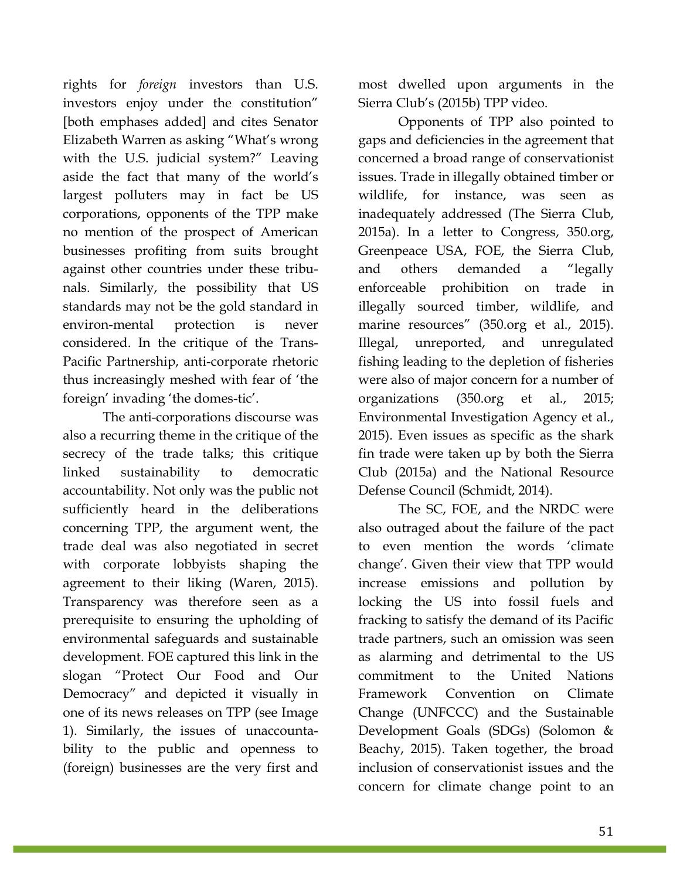rights for *foreign* investors than U.S. investors enjoy under the constitution" [both emphases added] and cites Senator Elizabeth Warren as asking "What's wrong with the U.S. judicial system?" Leaving aside the fact that many of the world's largest polluters may in fact be US corporations, opponents of the TPP make no mention of the prospect of American businesses profiting from suits brought against other countries under these tribunals. Similarly, the possibility that US standards may not be the gold standard in environ-mental protection is never considered. In the critique of the Trans-Pacific Partnership, anti-corporate rhetoric thus increasingly meshed with fear of 'the foreign' invading 'the domes-tic'.

The anti-corporations discourse was also a recurring theme in the critique of the secrecy of the trade talks; this critique linked sustainability to democratic accountability. Not only was the public not sufficiently heard in the deliberations concerning TPP, the argument went, the trade deal was also negotiated in secret with corporate lobbyists shaping the agreement to their liking (Waren, 2015). Transparency was therefore seen as a prerequisite to ensuring the upholding of environmental safeguards and sustainable development. FOE captured this link in the slogan "Protect Our Food and Our Democracy" and depicted it visually in one of its news releases on TPP (see Image 1). Similarly, the issues of unaccountability to the public and openness to (foreign) businesses are the very first and most dwelled upon arguments in the Sierra Club's (2015b) TPP video.

Opponents of TPP also pointed to gaps and deficiencies in the agreement that concerned a broad range of conservationist issues. Trade in illegally obtained timber or wildlife, for instance, was seen as inadequately addressed (The Sierra Club, 2015a). In a letter to Congress, 350.org, Greenpeace USA, FOE, the Sierra Club, and others demanded a "legally enforceable prohibition on trade in illegally sourced timber, wildlife, and marine resources" (350.org et al., 2015). Illegal, unreported, and unregulated fishing leading to the depletion of fisheries were also of major concern for a number of organizations (350.org et al., 2015; Environmental Investigation Agency et al., 2015). Even issues as specific as the shark fin trade were taken up by both the Sierra Club (2015a) and the National Resource Defense Council (Schmidt, 2014).

The SC, FOE, and the NRDC were also outraged about the failure of the pact to even mention the words 'climate change'. Given their view that TPP would increase emissions and pollution by locking the US into fossil fuels and fracking to satisfy the demand of its Pacific trade partners, such an omission was seen as alarming and detrimental to the US commitment to the United Nations Framework Convention on Climate Change (UNFCCC) and the Sustainable Development Goals (SDGs) (Solomon & Beachy, 2015). Taken together, the broad inclusion of conservationist issues and the concern for climate change point to an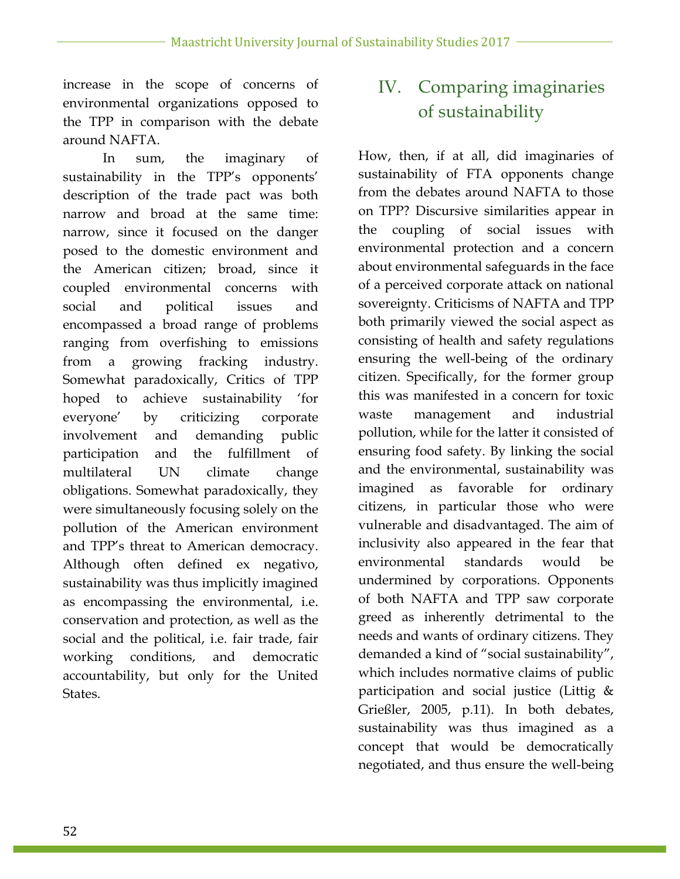increase in the scope of concerns of environmental organizations opposed to the TPP in comparison with the debate around NAFTA.

In sum, the imaginary of sustainability in the TPP's opponents' description of the trade pact was both narrow and broad at the same time: narrow, since it focused on the danger posed to the domestic environment and the American citizen; broad, since it coupled environmental concerns with social and political issues and encompassed a broad range of problems ranging from overfishing to emissions from a growing fracking industry. Somewhat paradoxically, Critics of TPP hoped to achieve sustainability 'for everyone' by criticizing corporate involvement and demanding public participation and the fulfillment of multilateral UN climate change obligations. Somewhat paradoxically, they were simultaneously focusing solely on the pollution of the American environment and TPP's threat to American democracy. Although often defined ex negativo, sustainability was thus implicitly imagined as encompassing the environmental, i.e. conservation and protection, as well as the social and the political, i.e. fair trade, fair working conditions, and democratic accountability, but only for the United States.

## IV. Comparing imaginaries of sustainability

How, then, if at all, did imaginaries of sustainability of FTA opponents change from the debates around NAFTA to those on TPP? Discursive similarities appear in the coupling of social issues with environmental protection and a concern about environmental safeguards in the face of a perceived corporate attack on national sovereignty. Criticisms of NAFTA and TPP both primarily viewed the social aspect as consisting of health and safety regulations ensuring the well-being of the ordinary citizen. Specifically, for the former group this was manifested in a concern for toxic waste management and industrial pollution, while for the latter it consisted of ensuring food safety. By linking the social and the environmental, sustainability was imagined as favorable for ordinary citizens, in particular those who were vulnerable and disadvantaged. The aim of inclusivity also appeared in the fear that environmental standards would be undermined by corporations. Opponents of both NAFTA and TPP saw corporate greed as inherently detrimental to the needs and wants of ordinary citizens. They demanded a kind of "social sustainability", which includes normative claims of public participation and social justice (Littig & Grießler, 2005, p.11). In both debates, sustainability was thus imagined as a concept that would be democratically negotiated, and thus ensure the well-being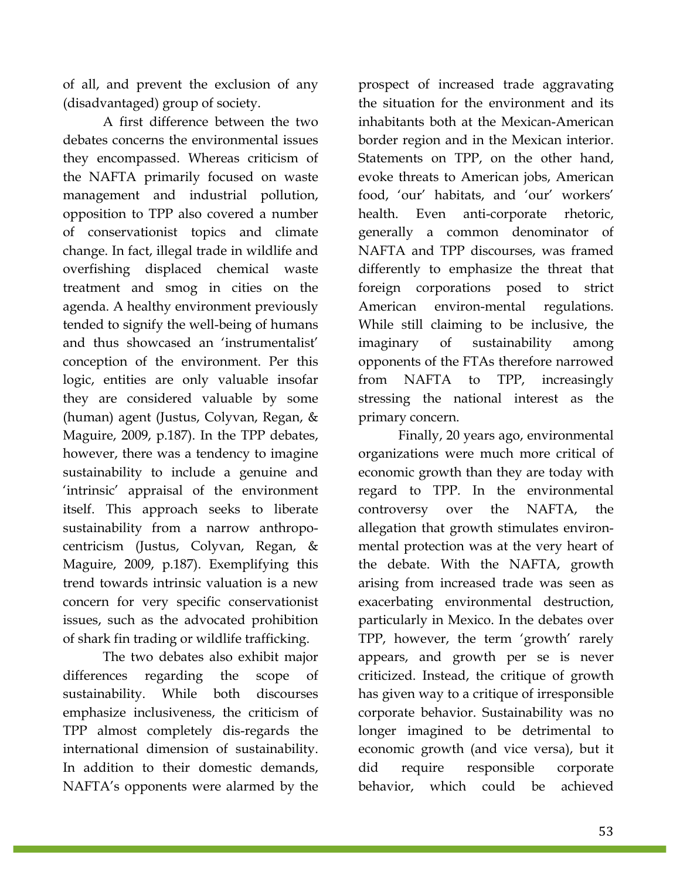of all, and prevent the exclusion of any (disadvantaged) group of society.

A first difference between the two debates concerns the environmental issues they encompassed. Whereas criticism of the NAFTA primarily focused on waste management and industrial pollution, opposition to TPP also covered a number of conservationist topics and climate change. In fact, illegal trade in wildlife and overfishing displaced chemical waste treatment and smog in cities on the agenda. A healthy environment previously tended to signify the well-being of humans and thus showcased an 'instrumentalist' conception of the environment. Per this logic, entities are only valuable insofar they are considered valuable by some (human) agent (Justus, Colyvan, Regan, & Maguire, 2009, p.187). In the TPP debates, however, there was a tendency to imagine sustainability to include a genuine and 'intrinsic' appraisal of the environment itself. This approach seeks to liberate sustainability from a narrow anthropocentricism (Justus, Colyvan, Regan, & Maguire, 2009, p.187). Exemplifying this trend towards intrinsic valuation is a new concern for very specific conservationist issues, such as the advocated prohibition of shark fin trading or wildlife trafficking.

The two debates also exhibit major differences regarding the scope of sustainability. While both discourses emphasize inclusiveness, the criticism of TPP almost completely dis-regards the international dimension of sustainability. In addition to their domestic demands, NAFTA's opponents were alarmed by the prospect of increased trade aggravating the situation for the environment and its inhabitants both at the Mexican-American border region and in the Mexican interior. Statements on TPP, on the other hand, evoke threats to American jobs, American food, 'our' habitats, and 'our' workers' health. Even anti-corporate rhetoric, generally a common denominator of NAFTA and TPP discourses, was framed differently to emphasize the threat that foreign corporations posed to strict American environ-mental regulations. While still claiming to be inclusive, the imaginary of sustainability among opponents of the FTAs therefore narrowed from NAFTA to TPP, increasingly stressing the national interest as the primary concern.

Finally, 20 years ago, environmental organizations were much more critical of economic growth than they are today with regard to TPP. In the environmental controversy over the NAFTA, the allegation that growth stimulates environmental protection was at the very heart of the debate. With the NAFTA, growth arising from increased trade was seen as exacerbating environmental destruction, particularly in Mexico. In the debates over TPP, however, the term 'growth' rarely appears, and growth per se is never criticized. Instead, the critique of growth has given way to a critique of irresponsible corporate behavior. Sustainability was no longer imagined to be detrimental to economic growth (and vice versa), but it did require responsible corporate behavior, which could be achieved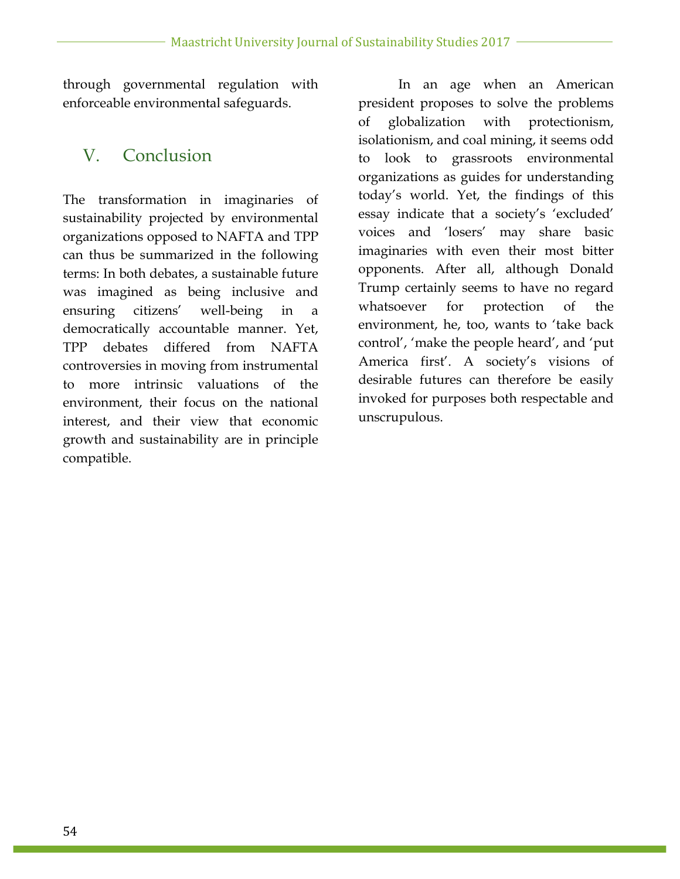through governmental regulation with enforceable environmental safeguards.

### V. Conclusion

The transformation in imaginaries of sustainability projected by environmental organizations opposed to NAFTA and TPP can thus be summarized in the following terms: In both debates, a sustainable future was imagined as being inclusive and ensuring citizens' well-being in a democratically accountable manner. Yet, TPP debates differed from NAFTA controversies in moving from instrumental to more intrinsic valuations of the environment, their focus on the national interest, and their view that economic growth and sustainability are in principle compatible.

In an age when an American president proposes to solve the problems of globalization with protectionism, isolationism, and coal mining, it seems odd to look to grassroots environmental organizations as guides for understanding today's world. Yet, the findings of this essay indicate that a society's 'excluded' voices and 'losers' may share basic imaginaries with even their most bitter opponents. After all, although Donald Trump certainly seems to have no regard whatsoever for protection of the environment, he, too, wants to 'take back control', 'make the people heard', and 'put America first'. A society's visions of desirable futures can therefore be easily invoked for purposes both respectable and unscrupulous.